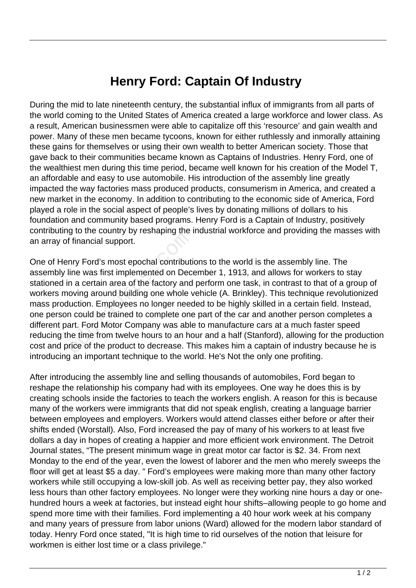## **Henry Ford: Captain Of Industry**

During the mid to late nineteenth century, the substantial influx of immigrants from all parts of the world coming to the United States of America created a large workforce and lower class. As a result, American businessmen were able to capitalize off this 'resource' and gain wealth and power. Many of these men became tycoons, known for either ruthlessly and inmorally attaining these gains for themselves or using their own wealth to better American society. Those that gave back to their communities became known as Captains of Industries. Henry Ford, one of the wealthiest men during this time period, became well known for his creation of the Model T, an affordable and easy to use automobile. His introduction of the assembly line greatly impacted the way factories mass produced products, consumerism in America, and created a new market in the economy. In addition to contributing to the economic side of America, Ford played a role in the social aspect of people's lives by donating millions of dollars to his foundation and community based programs. Henry Ford is a Captain of Industry, positively contributing to the country by reshaping the industrial workforce and providing the masses with an array of financial support.

One of Henry Ford's most epochal contributions to the world is the assembly line. The assembly line was first implemented on December 1, 1913, and allows for workers to stay stationed in a certain area of the factory and perform one task, in contrast to that of a group of workers moving around building one whole vehicle (A. Brinkley). This technique revolutionized mass production. Employees no longer needed to be highly skilled in a certain field. Instead, one person could be trained to complete one part of the car and another person completes a different part. Ford Motor Company was able to manufacture cars at a much faster speed reducing the time from twelve hours to an hour and a half (Stanford), allowing for the production cost and price of the product to decrease. This makes him a captain of industry because he is introducing an important technique to the world. He's Not the only one profiting. Frinancial support.<br>
Internal support.<br>
Internal support.<br>
Internal support.<br>
Internal support.<br>
Internal support on Dec<br>
Internal area of the factory and<br>
Decision area of the factory and<br>
Decision internal complete one<br>

After introducing the assembly line and selling thousands of automobiles, Ford began to reshape the relationship his company had with its employees. One way he does this is by creating schools inside the factories to teach the workers english. A reason for this is because many of the workers were immigrants that did not speak english, creating a language barrier between employees and employers. Workers would attend classes either before or after their shifts ended (Worstall). Also, Ford increased the pay of many of his workers to at least five dollars a day in hopes of creating a happier and more efficient work environment. The Detroit Journal states, "The present minimum wage in great motor car factor is \$2. 34. From next Monday to the end of the year, even the lowest of laborer and the men who merely sweeps the floor will get at least \$5 a day. " Ford's employees were making more than many other factory workers while still occupying a low-skill job. As well as receiving better pay, they also worked less hours than other factory employees. No longer were they working nine hours a day or onehundred hours a week at factories, but instead eight hour shifts–allowing people to go home and spend more time with their families. Ford implementing a 40 hour work week at his company and many years of pressure from labor unions (Ward) allowed for the modern labor standard of today. Henry Ford once stated, "It is high time to rid ourselves of the notion that leisure for workmen is either lost time or a class privilege."